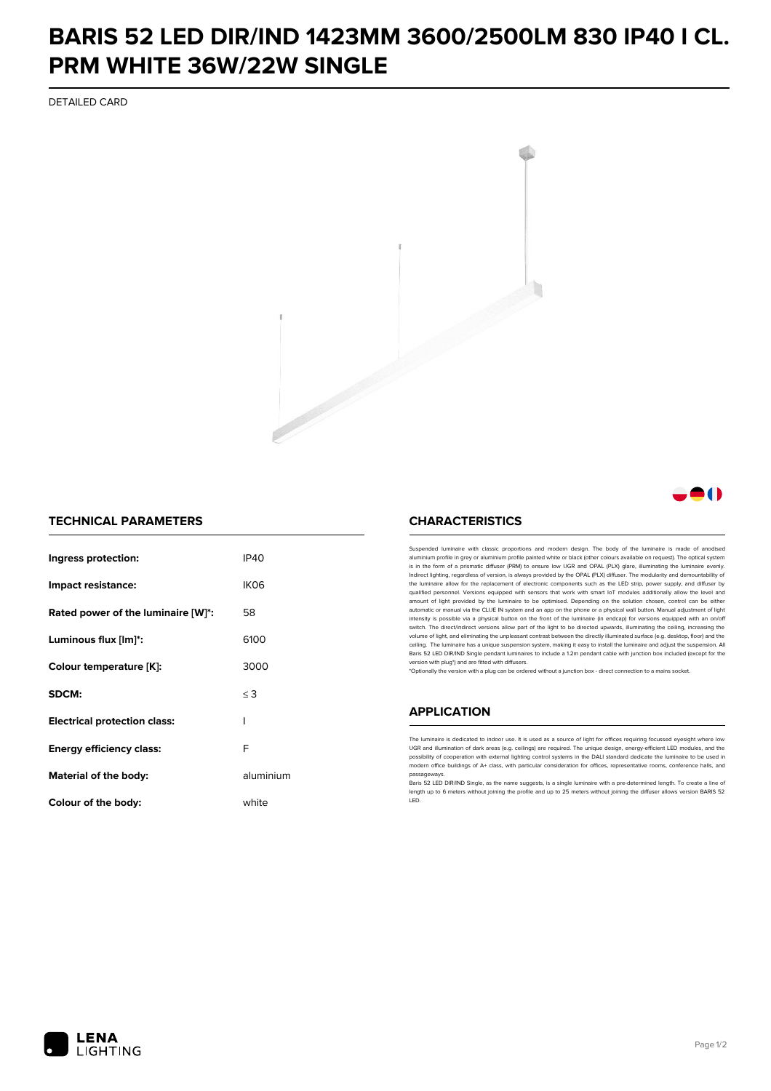## **BARIS 52 LED DIR/IND 1423MM 3600/2500LM 830 IP40 I CL. PRM WHITE 36W/22W SINGLE**

DETAILED CARD



### 81 N

### **TECHNICAL PARAMETERS**

| Ingress protection:                 | IP40             |
|-------------------------------------|------------------|
| Impact resistance:                  | IK <sub>06</sub> |
| Rated power of the luminaire [W]*:  | 58               |
| Luminous flux [lm]*:                | 6100             |
| Colour temperature [K]:             | 3000             |
| SDCM:                               | $\leq$ 3         |
| <b>Electrical protection class:</b> | ı                |
| Energy efficiency class:            | F                |
| Material of the body:               | aluminium        |
| Colour of the body:                 | white            |

#### **CHARACTERISTICS**

Suspended luminaire with classic proportions and modern design. The body of the luminaire is made of an aluminium profile in grey or aluminium profile painted white or black (other colours available on request). The optical system is in the form of a prismatic diffuser (PRM) to ensure low UGR and OPAL (PLX) glare, illuminating the luminaire evenly.<br>Indirect lighting, regardless of version, is always provided by the OPAL (PLX) diffuser. The modularit the luminaire allow for the replacement of electronic components such as the LED strip, power supply, and diffuser by qualified personnel. Versions equipped with sensors that work with smart IoT modules additionally allow the level and amount of light provided by the luminaire to be optimised. Depending on the solution chosen, control can be either automatic or manual via the CLUE IN system and an app on the phone or a physical wall button. Manual adjustment of light<br>intensity is possible via a physical button on the front of the luminaire (in endcap) for versions eq switch. The direct/indirect versions allow part of the light to be directed upwards, illuminating the ceiling, increasing the volume of light, and eliminating the unpleasant contrast between the directly illuminated surface (e.g. desktop, floor) and the ceiling. The luminaire has a unique suspension system, making it easy to install the luminaire and adjust the suspension. All Baris 52 LED DIR/IND Single pendant Iuminaires to include a 1.2m pendant cable with junction box included (except for the<br>version with plug\*) and are fitted with diffusers.

\*Optionally the version with a plug can be ordered without a junction box - direct connection to a mains socket.

#### **APPLICATION**

The luminaire is dedicated to indoor use. It is used as a source of light for offices requiring focussed eyesight where low UGR and illumination of dark areas (e.g. ceilings) are required. The unique design, energy-efficient LED modules, and the<br>possibility of cooperation with external lighting control systems in the DALI standard dedicate the modern office buildings of A+ class, with particular consideration for offices, representative rooms, conference halls, and passage

.<br>Baris 52 LED DIR/IND Single, as the name suggests, is a single luminaire with a pre-determined length. To create a line of length up to 6 meters without joining the profile and up to 25 meters without joining the diffuser allows version BARIS 52 LED.